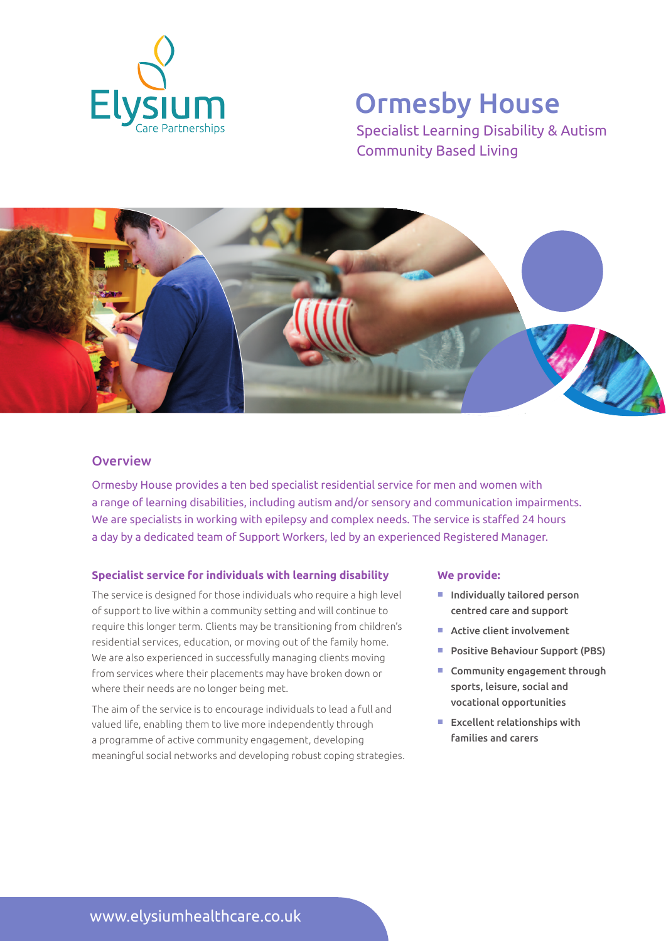

# Ormesby House

Specialist Learning Disability & Autism Community Based Living



### **Overview**

Ormesby House provides a ten bed specialist residential service for men and women with a range of learning disabilities, including autism and/or sensory and communication impairments. We are specialists in working with epilepsy and complex needs. The service is staffed 24 hours a day by a dedicated team of Support Workers, led by an experienced Registered Manager.

#### **Specialist service for individuals with learning disability**

The service is designed for those individuals who require a high level of support to live within a community setting and will continue to require this longer term. Clients may be transitioning from children's residential services, education, or moving out of the family home. We are also experienced in successfully managing clients moving from services where their placements may have broken down or where their needs are no longer being met.

The aim of the service is to encourage individuals to lead a full and valued life, enabling them to live more independently through a programme of active community engagement, developing meaningful social networks and developing robust coping strategies.

#### **We provide:**

- $\blacksquare$  Individually tailored person centred care and support
- $\blacksquare$  Active client involvement
- **Positive Behaviour Support (PBS)**
- $\blacksquare$  Community engagement through sports, leisure, social and vocational opportunities
- $\blacksquare$  Excellent relationships with families and carers